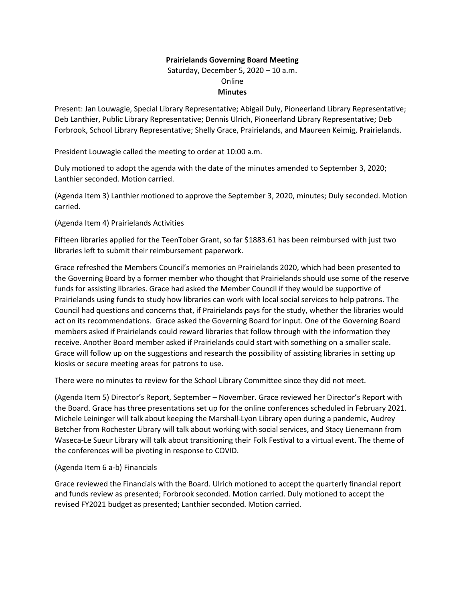## **Prairielands Governing Board Meeting**

Saturday, December 5, 2020 – 10 a.m. Online **Minutes**

Present: Jan Louwagie, Special Library Representative; Abigail Duly, Pioneerland Library Representative; Deb Lanthier, Public Library Representative; Dennis Ulrich, Pioneerland Library Representative; Deb Forbrook, School Library Representative; Shelly Grace, Prairielands, and Maureen Keimig, Prairielands.

President Louwagie called the meeting to order at 10:00 a.m.

Duly motioned to adopt the agenda with the date of the minutes amended to September 3, 2020; Lanthier seconded. Motion carried.

(Agenda Item 3) Lanthier motioned to approve the September 3, 2020, minutes; Duly seconded. Motion carried.

(Agenda Item 4) Prairielands Activities

Fifteen libraries applied for the TeenTober Grant, so far \$1883.61 has been reimbursed with just two libraries left to submit their reimbursement paperwork.

Grace refreshed the Members Council's memories on Prairielands 2020, which had been presented to the Governing Board by a former member who thought that Prairielands should use some of the reserve funds for assisting libraries. Grace had asked the Member Council if they would be supportive of Prairielands using funds to study how libraries can work with local social services to help patrons. The Council had questions and concerns that, if Prairielands pays for the study, whether the libraries would act on its recommendations. Grace asked the Governing Board for input. One of the Governing Board members asked if Prairielands could reward libraries that follow through with the information they receive. Another Board member asked if Prairielands could start with something on a smaller scale. Grace will follow up on the suggestions and research the possibility of assisting libraries in setting up kiosks or secure meeting areas for patrons to use.

There were no minutes to review for the School Library Committee since they did not meet.

(Agenda Item 5) Director's Report, September – November. Grace reviewed her Director's Report with the Board. Grace has three presentations set up for the online conferences scheduled in February 2021. Michele Leininger will talk about keeping the Marshall-Lyon Library open during a pandemic, Audrey Betcher from Rochester Library will talk about working with social services, and Stacy Lienemann from Waseca-Le Sueur Library will talk about transitioning their Folk Festival to a virtual event. The theme of the conferences will be pivoting in response to COVID.

## (Agenda Item 6 a-b) Financials

Grace reviewed the Financials with the Board. Ulrich motioned to accept the quarterly financial report and funds review as presented; Forbrook seconded. Motion carried. Duly motioned to accept the revised FY2021 budget as presented; Lanthier seconded. Motion carried.